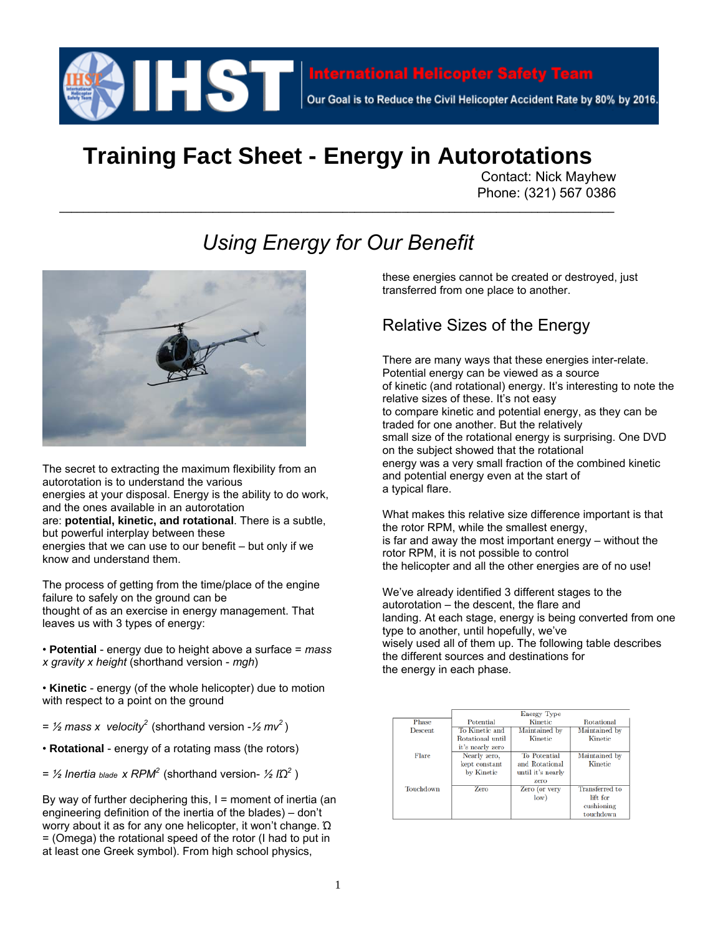

# **Training Fact Sheet - Energy in Autorotations**

Contact: Nick Mayhew Phone: (321) 567 0386

# *Using Energy for Our Benefit*

**\_\_\_\_\_\_\_\_\_\_\_\_\_\_\_\_\_\_\_\_\_\_\_\_\_\_\_\_\_\_\_\_\_\_\_\_\_\_\_\_\_\_\_\_\_\_\_\_\_\_\_\_\_\_\_\_\_\_\_\_\_\_\_\_\_\_\_\_\_\_\_\_\_\_\_\_\_\_\_\_\_\_\_\_\_\_\_\_\_\_\_\_\_\_**



The secret to extracting the maximum flexibility from an autorotation is to understand the various energies at your disposal. Energy is the ability to do work, and the ones available in an autorotation are: **potential, kinetic, and rotational**. There is a subtle, but powerful interplay between these energies that we can use to our benefit – but only if we know and understand them.

The process of getting from the time/place of the engine failure to safely on the ground can be thought of as an exercise in energy management. That leaves us with 3 types of energy:

• **Potential** - energy due to height above a surface = *mass x gravity x height* (shorthand version - *mgh*)

• **Kinetic** - energy (of the whole helicopter) due to motion with respect to a point on the ground

 $=$  *½* mass x velocity<sup>2</sup> (shorthand version -  $\frac{1}{2}$  mv<sup>2</sup>)

• **Rotational** - energy of a rotating mass (the rotors)

 $=$  ½ *Inertia blade x RPM*<sup>2</sup> (shorthand version- ½ I $Ω<sup>2</sup>$ )

By way of further deciphering this,  $I =$  moment of inertia (an engineering definition of the inertia of the blades) – don't worry about it as for any one helicopter, it won't change. Ώ = (Omega) the rotational speed of the rotor (I had to put in at least one Greek symbol). From high school physics,

these energies cannot be created or destroyed, just transferred from one place to another.

#### Relative Sizes of the Energy

There are many ways that these energies inter-relate. Potential energy can be viewed as a source of kinetic (and rotational) energy. It's interesting to note the relative sizes of these. It's not easy to compare kinetic and potential energy, as they can be traded for one another. But the relatively small size of the rotational energy is surprising. One DVD on the subject showed that the rotational energy was a very small fraction of the combined kinetic and potential energy even at the start of a typical flare.

What makes this relative size difference important is that the rotor RPM, while the smallest energy, is far and away the most important energy – without the rotor RPM, it is not possible to control the helicopter and all the other energies are of no use!

We've already identified 3 different stages to the autorotation – the descent, the flare and landing. At each stage, energy is being converted from one type to another, until hopefully, we've wisely used all of them up. The following table describes the different sources and destinations for the energy in each phase.

|           |                  | <b>Energy Type</b>  |                |
|-----------|------------------|---------------------|----------------|
| Phase     | Potential        | Kinetic             | Rotational     |
| Descent.  | To Kinetic and   | Maintained by       | Maintained by  |
|           | Rotational until | Kinetic             | Kinetic        |
|           | it's nearly zero |                     |                |
| Flare     | Nearly zero,     | <b>To Potential</b> | Maintained by  |
|           | kept constant    | and Rotational      | Kinetic        |
|           | by Kinetic       | until it's nearly   |                |
|           |                  | zero                |                |
| Touchdown | Zero             | Zero (or very       | Transferred to |
|           |                  | low)                | lift for       |
|           |                  |                     | cushioning     |
|           |                  |                     | touchdown      |